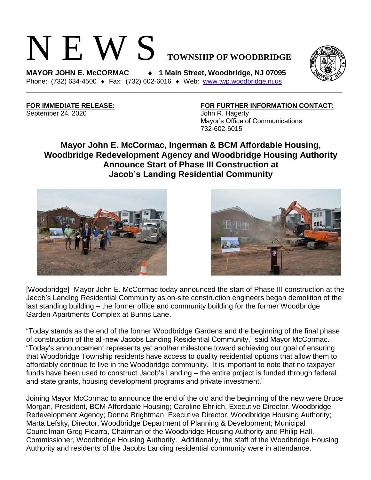## N E W S **TOWNSHIP OF WOODBRIDGE**

**MAYOR JOHN E. McCORMAC 1 Main Street, Woodbridge, NJ 07095**  Phone: (732) 634-4500 ♦ Fax: (732) 602-6016 ♦ Web: [www.twp.woodbridge.nj.us](http://www.twp.woodbridge.nj.us/)

September 24, 2020 John R. Hagerty

## **FOR IMMEDIATE RELEASE: FOR FURTHER INFORMATION CONTACT:**

Mayor's Office of Communications 732-602-6015

**Mayor John E. McCormac, Ingerman & BCM Affordable Housing, Woodbridge Redevelopment Agency and Woodbridge Housing Authority Announce Start of Phase III Construction at Jacob's Landing Residential Community**

\_\_\_\_\_\_\_\_\_\_\_\_\_\_\_\_\_\_\_\_\_\_\_\_\_\_\_\_\_\_\_\_\_\_\_\_\_\_\_\_\_\_\_\_\_\_\_\_\_\_\_\_\_\_\_\_\_\_\_\_\_\_\_\_\_\_\_\_\_\_\_\_\_\_\_\_\_\_\_\_\_\_\_\_\_\_\_

[Woodbridge] Mayor John E. McCormac today announced the start of Phase III construction at the Jacob's Landing Residential Community as on-site construction engineers began demolition of the last standing building – the former office and community building for the former Woodbridge Garden Apartments Complex at Bunns Lane.

"Today stands as the end of the former Woodbridge Gardens and the beginning of the final phase of construction of the all-new Jacobs Landing Residential Community," said Mayor McCormac. "Today's announcement represents yet another milestone toward achieving our goal of ensuring that Woodbridge Township residents have access to quality residential options that allow them to affordably continue to live in the Woodbridge community. It is important to note that no taxpayer funds have been used to construct Jacob's Landing – the entire project is funded through federal and state grants, housing development programs and private investment."

Joining Mayor McCormac to announce the end of the old and the beginning of the new were Bruce Morgan, President, BCM Affordable Housing; Caroline Ehrlich, Executive Director, Woodbridge Redevelopment Agency; Donna Brightman, Executive Director, Woodbridge Housing Authority; Marta Lefsky, Director, Woodbridge Department of Planning & Development; Municipal Councilman Greg Ficarra, Chairman of the Woodbridge Housing Authority and Philip Hall, Commissioner, Woodbridge Housing Authority. Additionally, the staff of the Woodbridge Housing Authority and residents of the Jacobs Landing residential community were in attendance.